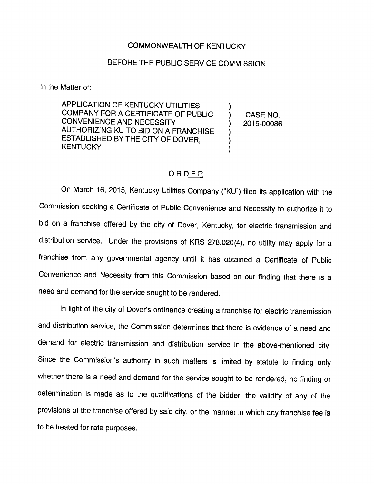## COMMONWEALTH OF KENTUCKY

## BEFORE THE PUBLIC SERVICE COMMISSION

In the Matter of:

APPLICATION OF KENTUCKY UTILITIES COMPANY FOR A CERTIFICATE OF PUBLIC CONVENIENCE AND NECESSITY AUTHORIZING KU TO BID ON A FRANCHISE ESTABLISHED BY THE CITY OF DOVER, **KENTUCKY** 

CASE NO. 2015-00086

## ORDER

On March 16, 2015, Kentucky Utilities Company ("KU") filed its application with the Commission seeking a Certificate of Public Convenience and Necessity to authorize it to bid on a franchise offered by the city of Dover, Kentucky, for electric transmission and distribution service. Under the provisions of KRS 278.020(4), no utility may apply for a franchise from any governmentai agency untii it has obtained a Certificate of Pubiic Convenience and Necessity from this Commission based on our finding that there is a need and demand for the service sought to be rendered.

In light of the city of Dover's ordinance creating a franchise for electric transmission and distribution service, the Commission determines that there is evidence of a need and demand for electric transmission and distribution service in the above-mentioned city. Since the Commission's authority in such matters is iimited by statute to finding only whether there is a need and demand for the service sought to be rendered, no finding or determination is made as to the qualifications of the bidder, the validity of any of the provisions of the franchise offered by said city, or the manner in which any franchise fee is to be treated for rate purposes.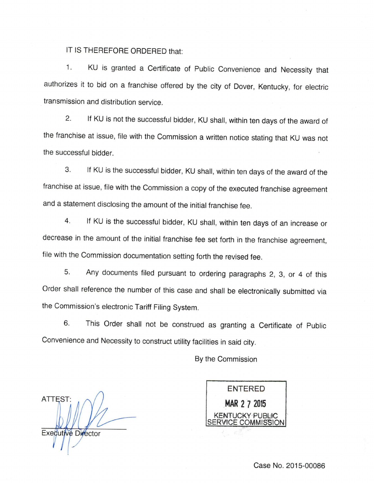## IT IS THEREFORE ORDERED that:

1. KU is granted a Certificate of Public Convenience and Necessity that authorizes it to bid on a franchise offered by the city of Dover, Kentucky, for electric transmission and distribution service.

2. If KU is not the successful bidder, KU shall, within ten days of the award of the franchise at issue, file with the Commission a written notice stating that KU was not the successful bidder.

3. If KU is the successful bidder, KU shall, within ten days of the award of the franchise at issue, file with the Commission a copy of the executed franchise agreement and a statement disclosing the amount of the initial franchise fee.

4. If KU is the successful bidder, KU shall, within ten days of an increase or decrease in the amount of the initial franchise fee set forth in the franchise agreement, file with the Commission documentation setting forth the revised fee.

5. Any documents filed pursuant to ordering paragraphs 2, 3, or 4 of this Order shall reference the number of this case and shall be electronically submitted via the Commission's electronic Tariff Filing System.

6. This Order shall not be construed as granting a Certificate of Public Convenience and Necessity to construct utility facilities in said city.

By the Commission

ATTEST Executive Director

ENTERED MAR 2 7 2015 JCKY PUBLIC /ICE COMMISSION

Case No. 2015-00086